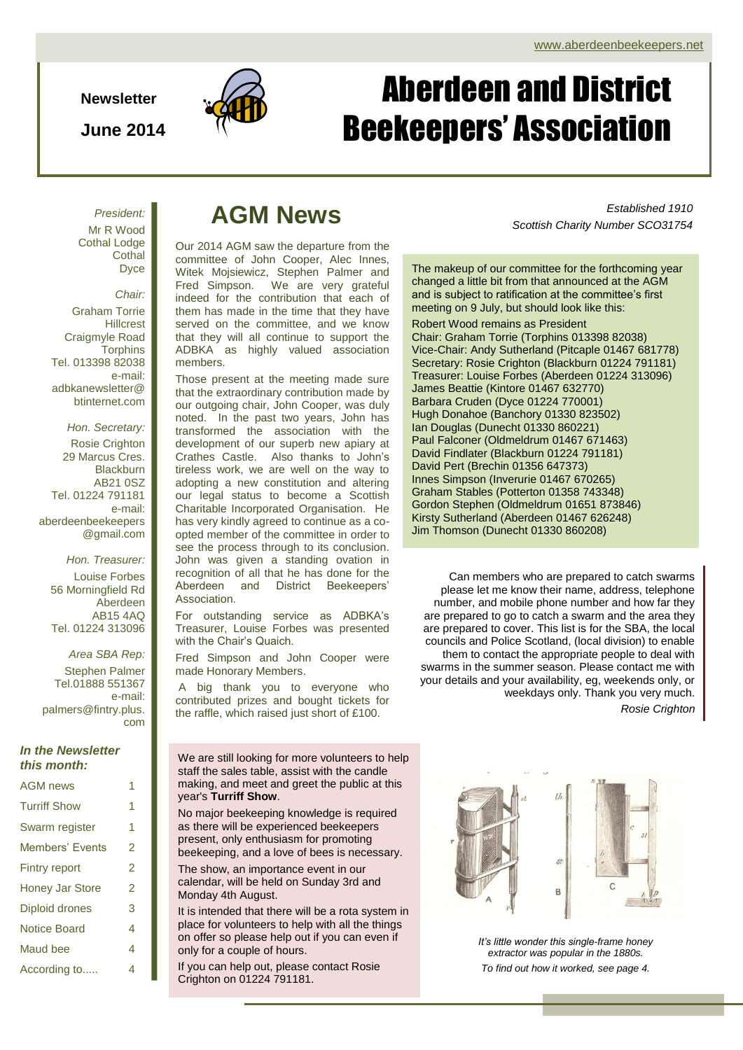**Newsletter**

**June 2014**



# Page 1 of 4 ADBKA Newsletter Aberdeen and District Beekeepers' Association

*President:* Mr R Wood Cothal Lodge **Cothal D**vce

*Chair:* Graham Torrie **Hillcrest** Craigmyle Road **Torphins** Tel. 013398 82038 e-mail: adbkanewsletter@ btinternet.com

*Hon. Secretary:* Rosie Crighton 29 Marcus Cres. **Blackburn** AB21 0SZ Tel. 01224 791181 e-mail: aberdeenbeekeepers @gmail.com

*Hon. Treasurer:* Louise Forbes 56 Morningfield Rd Aberdeen AB15 4AQ Tel. 01224 313096

*Area SBA Rep:* Stephen Palmer Tel.01888 551367 e-mail: palmers@fintry.plus. com

### *In the Newsletter this month:*

 $A \cap B$ 

| <b>AGM NEWS</b>        |                |
|------------------------|----------------|
| <b>Turriff Show</b>    | 1              |
| Swarm register         | 1              |
| <b>Members' Events</b> | 2              |
| <b>Fintry report</b>   | $\mathfrak{p}$ |
| <b>Honey Jar Store</b> | 2              |
| <b>Diploid drones</b>  | 3              |
| <b>Notice Board</b>    | 4              |
| Maud bee               | 4              |
| According to           | 4              |

## **AGM News**

Our 2014 AGM saw the departure from the committee of John Cooper, Alec Innes, Witek Mojsiewicz, Stephen Palmer and<br>Fred Simpson. We are very grateful  $W$ e are very grateful indeed for the contribution that each of them has made in the time that they have served on the committee, and we know that they will all continue to support the ADBKA as highly valued association members.

Those present at the meeting made sure that the extraordinary contribution made by our outgoing chair, John Cooper, was duly noted. In the past two years, John has transformed the association with the development of our superb new apiary at Crathes Castle. Also thanks to John's tireless work, we are well on the way to adopting a new constitution and altering our legal status to become a Scottish Charitable Incorporated Organisation. He has very kindly agreed to continue as a coopted member of the committee in order to see the process through to its conclusion. John was given a standing ovation in recognition of all that he has done for the Aberdeen and District Beekeepers' Association.

For outstanding service as ADBKA's Treasurer, Louise Forbes was presented with the Chair's Quaich.

Fred Simpson and John Cooper were made Honorary Members.

A big thank you to everyone who contributed prizes and bought tickets for the raffle, which raised just short of £100.

We are still looking for more volunteers to help staff the sales table, assist with the candle making, and meet and greet the public at this year's **Turriff Show**.

No major beekeeping knowledge is required as there will be experienced beekeepers present, only enthusiasm for promoting beekeeping, and a love of bees is necessary.

The show, an importance event in our calendar, will be held on Sunday 3rd and Monday 4th August.

It is intended that there will be a rota system in place for volunteers to help with all the things on offer so please help out if you can even if only for a couple of hours.

If you can help out, please contact Rosie Crighton on 01224 791181.

*Established 1910 Scottish Charity Number SCO31754*

The makeup of our committee for the forthcoming year changed a little bit from that announced at the AGM and is subject to ratification at the committee's first meeting on 9 July, but should look like this:

Robert Wood remains as President Chair: Graham Torrie (Torphins 013398 82038) Vice-Chair: Andy Sutherland (Pitcaple 01467 681778) Secretary: Rosie Crighton (Blackburn 01224 791181) Treasurer: Louise Forbes (Aberdeen 01224 313096) James Beattie (Kintore 01467 632770) Barbara Cruden (Dyce 01224 770001) Hugh Donahoe (Banchory 01330 823502) Ian Douglas (Dunecht 01330 860221) Paul Falconer (Oldmeldrum 01467 671463) David Findlater (Blackburn 01224 791181) David Pert (Brechin 01356 647373) Innes Simpson (Inverurie 01467 670265) Graham Stables (Potterton 01358 743348) Gordon Stephen (Oldmeldrum 01651 873846) Kirsty Sutherland (Aberdeen 01467 626248) Jim Thomson (Dunecht 01330 860208)

Can members who are prepared to catch swarms please let me know their name, address, telephone number, and mobile phone number and how far they are prepared to go to catch a swarm and the area they are prepared to cover. This list is for the SBA, the local councils and Police Scotland, (local division) to enable them to contact the appropriate people to deal with swarms in the summer season. Please contact me with your details and your availability, eg, weekends only, or weekdays only. Thank you very much. *Rosie Crighton*

> $\overline{\mathcal{S}}$ P

*It's little wonder this single-frame honey extractor was popular in the 1880s. To find out how it worked, see page 4.*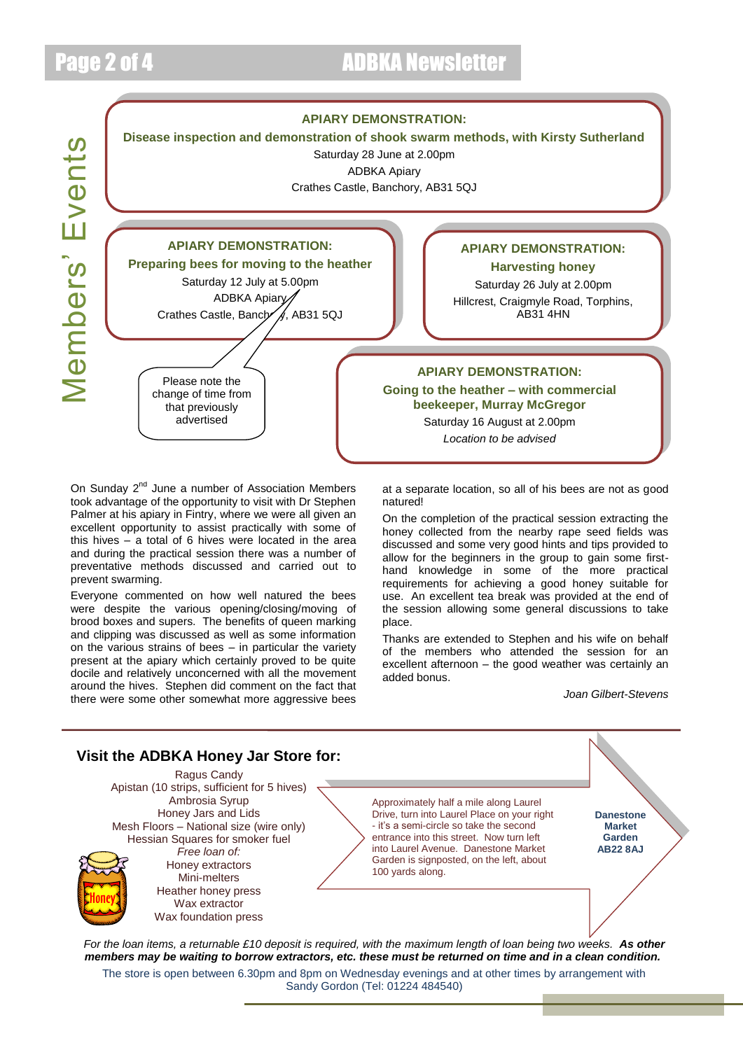## Page 2 of 4 **ADBKA** Newsletter



On Sunday 2<sup>nd</sup> June a number of Association Members took advantage of the opportunity to visit with Dr Stephen Palmer at his apiary in Fintry, where we were all given an excellent opportunity to assist practically with some of this hives – a total of 6 hives were located in the area and during the practical session there was a number of preventative methods discussed and carried out to prevent swarming.

Everyone commented on how well natured the bees were despite the various opening/closing/moving of brood boxes and supers. The benefits of queen marking and clipping was discussed as well as some information on the various strains of bees – in particular the variety present at the apiary which certainly proved to be quite docile and relatively unconcerned with all the movement around the hives. Stephen did comment on the fact that there were some other somewhat more aggressive bees

at a separate location, so all of his bees are not as good natured!

On the completion of the practical session extracting the honey collected from the nearby rape seed fields was discussed and some very good hints and tips provided to allow for the beginners in the group to gain some firsthand knowledge in some of the more practical requirements for achieving a good honey suitable for use. An excellent tea break was provided at the end of the session allowing some general discussions to take place.

Thanks are extended to Stephen and his wife on behalf of the members who attended the session for an excellent afternoon – the good weather was certainly an added bonus.

*Joan Gilbert-Stevens*

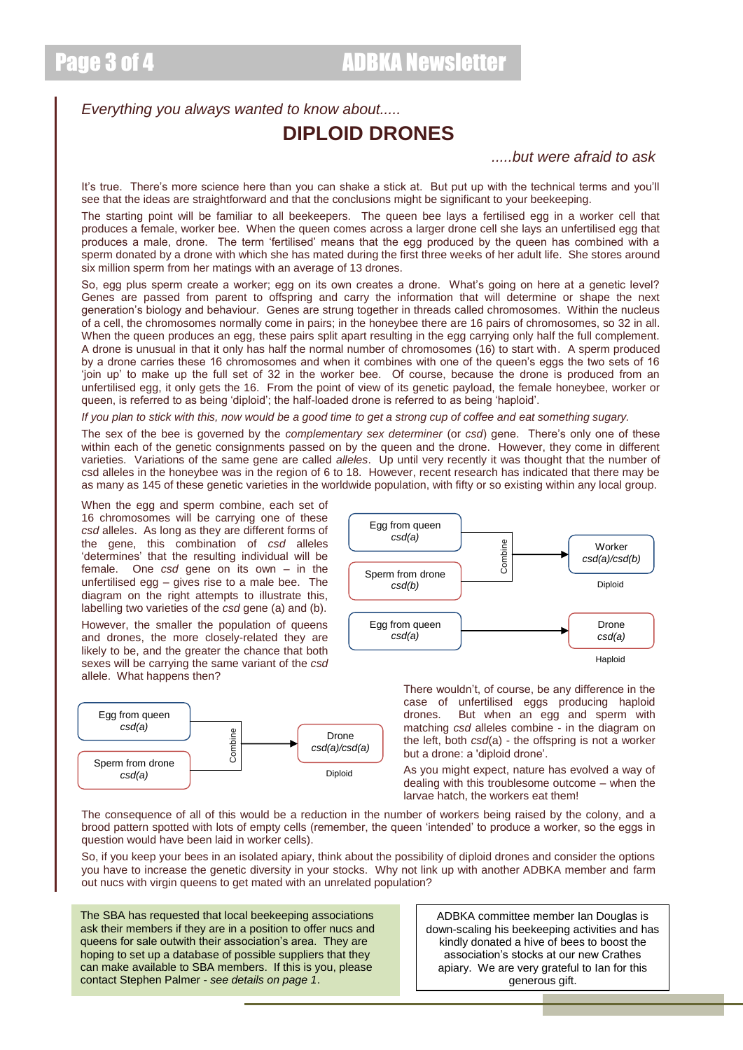*Everything you always wanted to know about.....*

## **DIPLOID DRONES**

## *.....but were afraid to ask*

It's true. There's more science here than you can shake a stick at. But put up with the technical terms and you'll see that the ideas are straightforward and that the conclusions might be significant to your beekeeping.

The starting point will be familiar to all beekeepers. The queen bee lays a fertilised egg in a worker cell that produces a female, worker bee. When the queen comes across a larger drone cell she lays an unfertilised egg that produces a male, drone. The term 'fertilised' means that the egg produced by the queen has combined with a sperm donated by a drone with which she has mated during the first three weeks of her adult life. She stores around six million sperm from her matings with an average of 13 drones.

So, egg plus sperm create a worker; egg on its own creates a drone. What's going on here at a genetic level? Genes are passed from parent to offspring and carry the information that will determine or shape the next generation's biology and behaviour. Genes are strung together in threads called chromosomes. Within the nucleus of a cell, the chromosomes normally come in pairs; in the honeybee there are 16 pairs of chromosomes, so 32 in all. When the queen produces an egg, these pairs split apart resulting in the egg carrying only half the full complement. A drone is unusual in that it only has half the normal number of chromosomes (16) to start with. A sperm produced by a drone carries these 16 chromosomes and when it combines with one of the queen's eggs the two sets of 16 'join up' to make up the full set of 32 in the worker bee. Of course, because the drone is produced from an unfertilised egg, it only gets the 16. From the point of view of its genetic payload, the female honeybee, worker or queen, is referred to as being 'diploid'; the half-loaded drone is referred to as being 'haploid'.

*If you plan to stick with this, now would be a good time to get a strong cup of coffee and eat something sugary.*

The sex of the bee is governed by the *complementary sex determiner* (or *csd*) gene. There's only one of these within each of the genetic consignments passed on by the queen and the drone. However, they come in different varieties. Variations of the same gene are called *alleles*. Up until very recently it was thought that the number of csd alleles in the honeybee was in the region of 6 to 18. However, recent research has indicated that there may be as many as 145 of these genetic varieties in the worldwide population, with fifty or so existing within any local group.

When the egg and sperm combine, each set of 16 chromosomes will be carrying one of these *csd* alleles. As long as they are different forms of the gene, this combination of *csd* alleles 'determines' that the resulting individual will be female. One *csd* gene on its own – in the unfertilised egg – gives rise to a male bee. The diagram on the right attempts to illustrate this, labelling two varieties of the *csd* gene (a) and (b).

However, the smaller the population of queens and drones, the more closely-related they are likely to be, and the greater the chance that both sexes will be carrying the same variant of the *csd* allele. What happens then?





There wouldn't, of course, be any difference in the case of unfertilised eggs producing haploid drones. But when an egg and sperm with matching *csd* alleles combine - in the diagram on the left, both *csd*(a) - the offspring is not a worker but a drone: a 'diploid drone'.

As you might expect, nature has evolved a way of dealing with this troublesome outcome – when the larvae hatch, the workers eat them!

The consequence of all of this would be a reduction in the number of workers being raised by the colony, and a brood pattern spotted with lots of empty cells (remember, the queen 'intended' to produce a worker, so the eggs in question would have been laid in worker cells).

So, if you keep your bees in an isolated apiary, think about the possibility of diploid drones and consider the options you have to increase the genetic diversity in your stocks. Why not link up with another ADBKA member and farm out nucs with virgin queens to get mated with an unrelated population?

The SBA has requested that local beekeeping associations ask their members if they are in a position to offer nucs and queens for sale outwith their association's area. They are hoping to set up a database of possible suppliers that they can make available to SBA members. If this is you, please contact Stephen Palmer - *see details on page 1*.

ADBKA committee member Ian Douglas is down-scaling his beekeeping activities and has kindly donated a hive of bees to boost the association's stocks at our new Crathes apiary. We are very grateful to Ian for this generous gift.